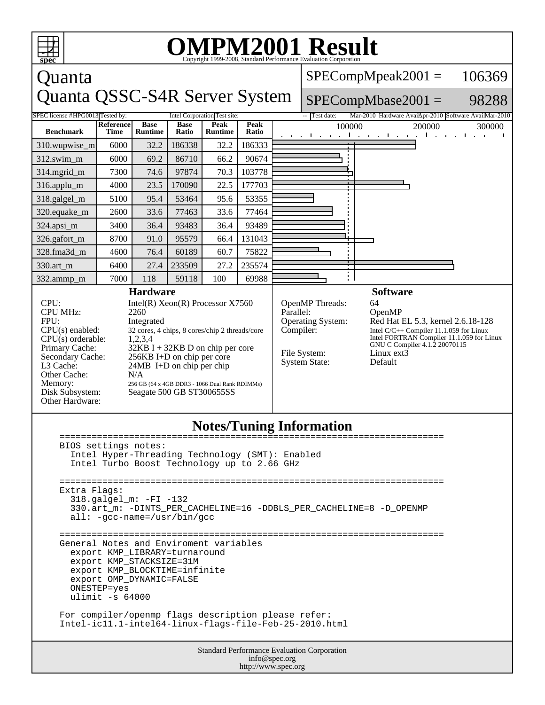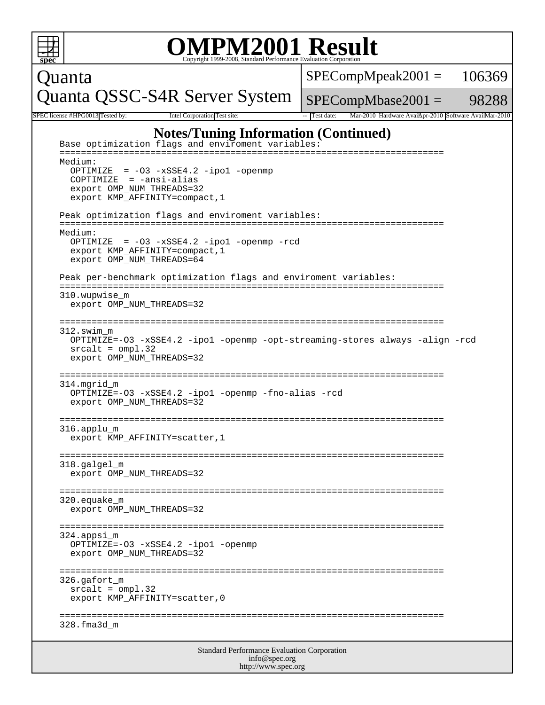```
Standard Performance Evaluation Corporation
 spec
                          OMPM2001 Result ISP9-2008, Standard Performance Evaluation Corporation
Quanta
Quanta QSSC-S4R Server System
                                                     SPECompMpeak2001 =SPECompMbase2001 =106369
                                                                                      98288
SPEC license #HPG0013 Tested by: Intel Corporation Test site: -- Test date: Mar-2010 Hardware Avail: - SPEC license #HPG0013 Tested by:
                       Notes/Tuning Information (Continued)
    Base optimization flags and enviroment variables:
     ========================================================================
     Medium:
        OPTIMIZE = -O3 -xSSE4.2 -ipo1 -openmp 
       COPTIMIZE = -ansi-alias
       export OMP_NUM_THREADS=32
       export KMP_AFFINITY=compact,1
     Peak optimization flags and enviroment variables:
     ========================================================================
     Medium:
       OPTIMIZE = -O3 -xSSE4.2 -ipo1 -openmp -rcd 
       export KMP_AFFINITY=compact,1
       export OMP_NUM_THREADS=64
     Peak per-benchmark optimization flags and enviroment variables:
      ========================================================================
      310.wupwise_m
        export OMP_NUM_THREADS=32
      ========================================================================
     312.swim_m
       OPTIMIZE=-O3 -xSSE4.2 -ipo1 -openmp -opt-streaming-stores always -align -rcd
       srcalt = ompl.32
       export OMP_NUM_THREADS=32
      ========================================================================
     314.mgrid_m
       OPTIMIZE=-O3 -xSSE4.2 -ipo1 -openmp -fno-alias -rcd 
       export OMP_NUM_THREADS=32
      ========================================================================
     316.applu_m
       export KMP_AFFINITY=scatter,1
      ========================================================================
      318.galgel_m
        export OMP_NUM_THREADS=32
     ========================================================================
     320.equake_m
        export OMP_NUM_THREADS=32
      ========================================================================
      324.appsi_m
        OPTIMIZE=-O3 -xSSE4.2 -ipo1 -openmp
        export OMP_NUM_THREADS=32
      ========================================================================
     326.gafort_m
      srcalt = omp1.32 export KMP_AFFINITY=scatter,0
      ========================================================================
      328.fma3d_m
```
info@spec.org http://www.spec.org